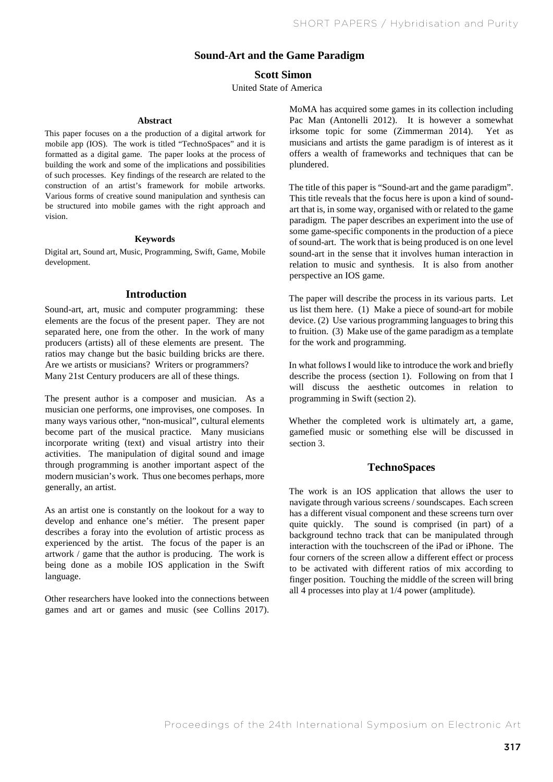# **Sound-Art and the Game Paradigm**

# **Scott Simon**

United State of America

### **Abstract**

This paper focuses on a the production of a digital artwork for mobile app (IOS). The work is titled "TechnoSpaces" and it is formatted as a digital game. The paper looks at the process of building the work and some of the implications and possibilities of such processes. Key findings of the research are related to the construction of an artist's framework for mobile artworks. Various forms of creative sound manipulation and synthesis can be structured into mobile games with the right approach and vision.

#### **Keywords**

Digital art, Sound art, Music, Programming, Swift, Game, Mobile development.

## **Introduction**

Sound-art, art, music and computer programming: these elements are the focus of the present paper. They are not separated here, one from the other. In the work of many producers (artists) all of these elements are present. The ratios may change but the basic building bricks are there. Are we artists or musicians? Writers or programmers? Many 21st Century producers are all of these things.

The present author is a composer and musician. As a musician one performs, one improvises, one composes. In many ways various other, "non-musical", cultural elements become part of the musical practice. Many musicians incorporate writing (text) and visual artistry into their activities. The manipulation of digital sound and image through programming is another important aspect of the modern musician's work. Thus one becomes perhaps, more generally, an artist.

As an artist one is constantly on the lookout for a way to develop and enhance one's métier. The present paper describes a foray into the evolution of artistic process as experienced by the artist. The focus of the paper is an artwork / game that the author is producing. The work is being done as a mobile IOS application in the Swift language.

Other researchers have looked into the connections between games and art or games and music (see Collins 2017). MoMA has acquired some games in its collection including Pac Man (Antonelli 2012). It is however a somewhat irksome topic for some (Zimmerman 2014). Yet as musicians and artists the game paradigm is of interest as it offers a wealth of frameworks and techniques that can be plundered.

The title of this paper is "Sound-art and the game paradigm". This title reveals that the focus here is upon a kind of soundart that is, in some way, organised with or related to the game paradigm. The paper describes an experiment into the use of some game-specific components in the production of a piece of sound-art. The work that is being produced is on one level sound-art in the sense that it involves human interaction in relation to music and synthesis. It is also from another perspective an IOS game.

The paper will describe the process in its various parts. Let us list them here. (1) Make a piece of sound-art for mobile device. (2) Use various programming languages to bring this to fruition. (3) Make use of the game paradigm as a template for the work and programming.

In what followsI would like to introduce the work and briefly describe the process (section 1). Following on from that I will discuss the aesthetic outcomes in relation to programming in Swift (section 2).

Whether the completed work is ultimately art, a game, gamefied music or something else will be discussed in section 3.

## **TechnoSpaces**

The work is an IOS application that allows the user to navigate through various screens / soundscapes. Each screen has a different visual component and these screens turn over quite quickly. The sound is comprised (in part) of a background techno track that can be manipulated through interaction with the touchscreen of the iPad or iPhone. The four corners of the screen allow a different effect or process to be activated with different ratios of mix according to finger position. Touching the middle of the screen will bring all 4 processes into play at 1/4 power (amplitude).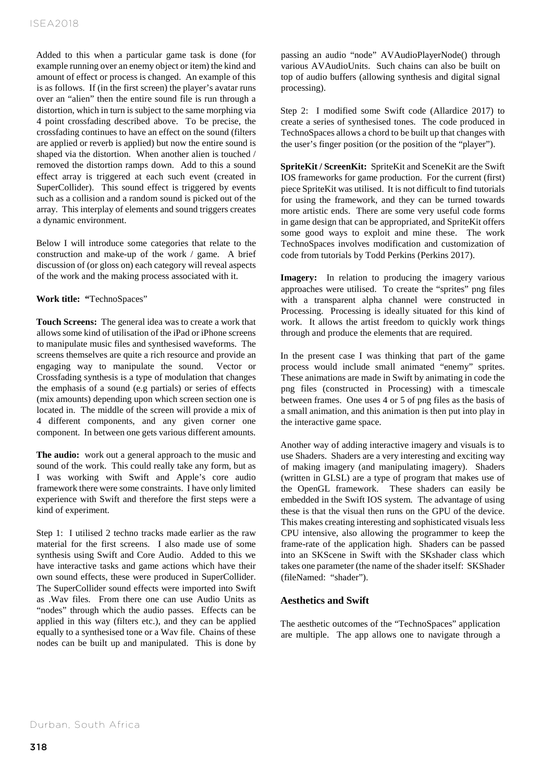Added to this when a particular game task is done (for example running over an enemy object or item) the kind and amount of effect or process is changed. An example of this is as follows. If (in the first screen) the player's avatar runs over an "alien" then the entire sound file is run through a distortion, which in turn is subject to the same morphing via 4 point crossfading described above. To be precise, the crossfading continues to have an effect on the sound (filters are applied or reverb is applied) but now the entire sound is shaped via the distortion. When another alien is touched / removed the distortion ramps down. Add to this a sound effect array is triggered at each such event (created in SuperCollider). This sound effect is triggered by events such as a collision and a random sound is picked out of the array. This interplay of elements and sound triggers creates a dynamic environment.

Below I will introduce some categories that relate to the construction and make-up of the work / game. A brief discussion of (or gloss on) each category will reveal aspects of the work and the making process associated with it.

**Work title: "**TechnoSpaces"

**Touch Screens:** The general idea was to create a work that allows some kind of utilisation of the iPad or iPhone screens to manipulate music files and synthesised waveforms. The screens themselves are quite a rich resource and provide an engaging way to manipulate the sound. Vector or Crossfading synthesis is a type of modulation that changes the emphasis of a sound (e.g partials) or series of effects (mix amounts) depending upon which screen section one is located in. The middle of the screen will provide a mix of 4 different components, and any given corner one component. In between one gets various different amounts.

**The audio:** work out a general approach to the music and sound of the work. This could really take any form, but as I was working with Swift and Apple's core audio framework there were some constraints. I have only limited experience with Swift and therefore the first steps were a kind of experiment.

Step 1: I utilised 2 techno tracks made earlier as the raw material for the first screens. I also made use of some synthesis using Swift and Core Audio. Added to this we have interactive tasks and game actions which have their own sound effects, these were produced in SuperCollider. The SuperCollider sound effects were imported into Swift as .Wav files. From there one can use Audio Units as "nodes" through which the audio passes. Effects can be applied in this way (filters etc.), and they can be applied equally to a synthesised tone or a Wav file. Chains of these nodes can be built up and manipulated. This is done by passing an audio "node" AVAudioPlayerNode() through various AVAudioUnits. Such chains can also be built on top of audio buffers (allowing synthesis and digital signal processing).

Step 2: I modified some Swift code (Allardice 2017) to create a series of synthesised tones. The code produced in TechnoSpaces allows a chord to be built up that changes with the user's finger position (or the position of the "player").

**SpriteKit / ScreenKit:** SpriteKit and SceneKit are the Swift IOS frameworks for game production. For the current (first) piece SpriteKit was utilised. It is not difficult to find tutorials for using the framework, and they can be turned towards more artistic ends. There are some very useful code forms in game design that can be appropriated, and SpriteKit offers some good ways to exploit and mine these. The work TechnoSpaces involves modification and customization of code from tutorials by Todd Perkins (Perkins 2017).

**Imagery:** In relation to producing the imagery various approaches were utilised. To create the "sprites" png files with a transparent alpha channel were constructed in Processing. Processing is ideally situated for this kind of work. It allows the artist freedom to quickly work things through and produce the elements that are required.

In the present case I was thinking that part of the game process would include small animated "enemy" sprites. These animations are made in Swift by animating in code the png files (constructed in Processing) with a timescale between frames. One uses 4 or 5 of png files as the basis of a small animation, and this animation is then put into play in the interactive game space.

Another way of adding interactive imagery and visuals is to use Shaders. Shaders are a very interesting and exciting way of making imagery (and manipulating imagery). Shaders (written in GLSL) are a type of program that makes use of the OpenGL framework. These shaders can easily be embedded in the Swift IOS system. The advantage of using these is that the visual then runs on the GPU of the device. This makes creating interesting and sophisticated visuals less CPU intensive, also allowing the programmer to keep the frame-rate of the application high. Shaders can be passed into an SKScene in Swift with the SKshader class which takes one parameter (the name of the shader itself: SKShader (fileNamed: "shader").

# **Aesthetics and Swift**

The aesthetic outcomes of the "TechnoSpaces" application are multiple. The app allows one to navigate through a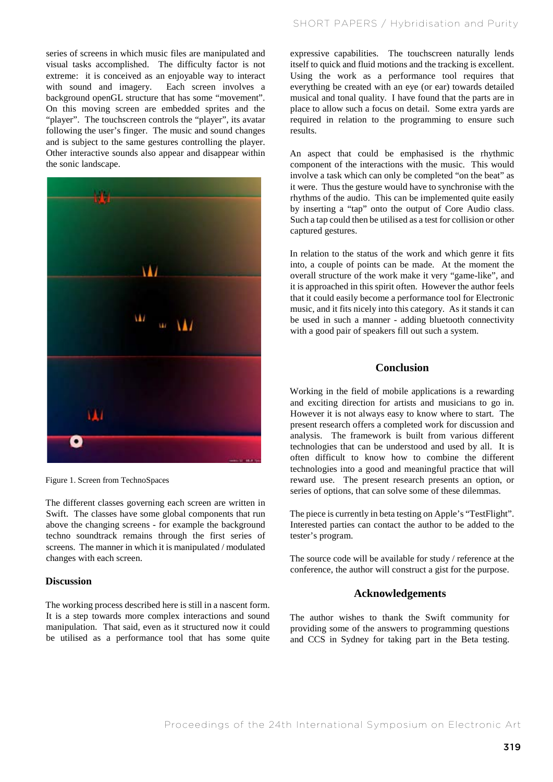series of screens in which music files are manipulated and visual tasks accomplished. The difficulty factor is not extreme: it is conceived as an enjoyable way to interact with sound and imagery. Each screen involves a background openGL structure that has some "movement". On this moving screen are embedded sprites and the "player". The touchscreen controls the "player", its avatar following the user's finger. The music and sound changes and is subject to the same gestures controlling the player. Other interactive sounds also appear and disappear within the sonic landscape.



Figure 1. Screen from TechnoSpaces

The different classes governing each screen are written in Swift. The classes have some global components that run above the changing screens - for example the background techno soundtrack remains through the first series of screens. The manner in which it is manipulated / modulated changes with each screen.

#### **Discussion**

The working process described here is still in a nascent form. It is a step towards more complex interactions and sound manipulation. That said, even as it structured now it could be utilised as a performance tool that has some quite

expressive capabilities. The touchscreen naturally lends itself to quick and fluid motions and the tracking is excellent. Using the work as a performance tool requires that everything be created with an eye (or ear) towards detailed musical and tonal quality. I have found that the parts are in place to allow such a focus on detail. Some extra yards are required in relation to the programming to ensure such results.

An aspect that could be emphasised is the rhythmic component of the interactions with the music. This would involve a task which can only be completed "on the beat" as it were. Thus the gesture would have to synchronise with the rhythms of the audio. This can be implemented quite easily by inserting a "tap" onto the output of Core Audio class. Such a tap could then be utilised as a test for collision or other captured gestures.

In relation to the status of the work and which genre it fits into, a couple of points can be made. At the moment the overall structure of the work make it very "game-like", and it is approached in this spirit often. However the author feels that it could easily become a performance tool for Electronic music, and it fits nicely into this category. As it stands it can be used in such a manner - adding bluetooth connectivity with a good pair of speakers fill out such a system.

## **Conclusion**

Working in the field of mobile applications is a rewarding and exciting direction for artists and musicians to go in. However it is not always easy to know where to start. The present research offers a completed work for discussion and analysis. The framework is built from various different technologies that can be understood and used by all. It is often difficult to know how to combine the different technologies into a good and meaningful practice that will reward use. The present research presents an option, or series of options, that can solve some of these dilemmas.

The piece is currently in beta testing on Apple's "TestFlight". Interested parties can contact the author to be added to the tester's program.

The source code will be available for study / reference at the conference, the author will construct a gist for the purpose.

### **Acknowledgements**

The author wishes to thank the Swift community for providing some of the answers to programming questions and CCS in Sydney for taking part in the Beta testing.